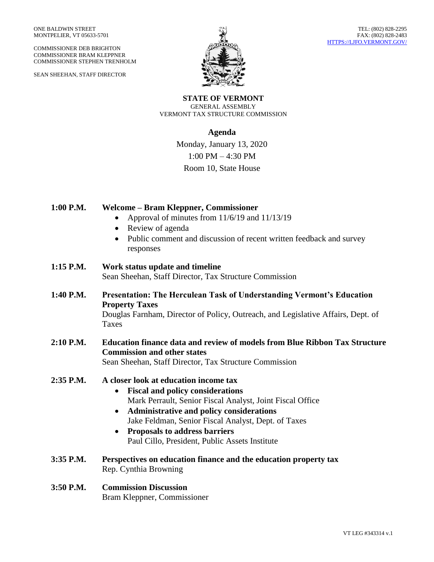COMMISSIONER DEB BRIGHTON COMMISSIONER BRAM KLEPPNER COMMISSIONER STEPHEN TRENHOLM

SEAN SHEEHAN, STAFF DIRECTOR



**STATE OF VERMONT** GENERAL ASSEMBLY VERMONT TAX STRUCTURE COMMISSION

## **Agenda**

Monday, January 13, 2020 1:00 PM – 4:30 PM Room 10, State House

| 1:00 P.M. | <b>Welcome - Bram Kleppner, Commissioner</b><br>Approval of minutes from 11/6/19 and 11/13/19<br>$\bullet$<br>Review of agenda<br>$\bullet$<br>Public comment and discussion of recent written feedback and survey<br>$\bullet$<br>responses                                                                                                                                      |
|-----------|-----------------------------------------------------------------------------------------------------------------------------------------------------------------------------------------------------------------------------------------------------------------------------------------------------------------------------------------------------------------------------------|
| 1:15 P.M. | Work status update and timeline<br>Sean Sheehan, Staff Director, Tax Structure Commission                                                                                                                                                                                                                                                                                         |
| 1:40 P.M. | <b>Presentation: The Herculean Task of Understanding Vermont's Education</b><br><b>Property Taxes</b><br>Douglas Farnham, Director of Policy, Outreach, and Legislative Affairs, Dept. of<br><b>Taxes</b>                                                                                                                                                                         |
| 2:10 P.M. | <b>Education finance data and review of models from Blue Ribbon Tax Structure</b><br><b>Commission and other states</b><br>Sean Sheehan, Staff Director, Tax Structure Commission                                                                                                                                                                                                 |
| 2:35 P.M. | A closer look at education income tax<br><b>Fiscal and policy considerations</b><br>$\bullet$<br>Mark Perrault, Senior Fiscal Analyst, Joint Fiscal Office<br>Administrative and policy considerations<br>$\bullet$<br>Jake Feldman, Senior Fiscal Analyst, Dept. of Taxes<br><b>Proposals to address barriers</b><br>$\bullet$<br>Paul Cillo, President, Public Assets Institute |
| 3:35 P.M. | Perspectives on education finance and the education property tax<br>Rep. Cynthia Browning                                                                                                                                                                                                                                                                                         |
| 3:50 P.M. | <b>Commission Discussion</b><br>Bram Kleppner, Commissioner                                                                                                                                                                                                                                                                                                                       |